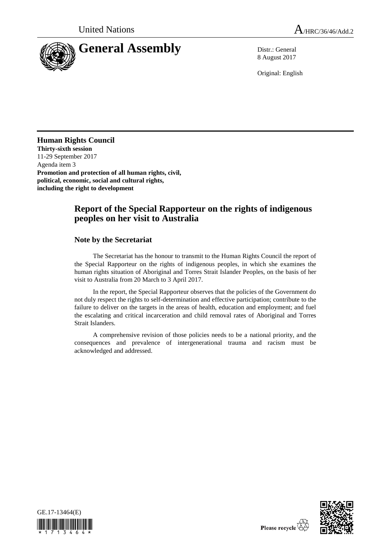

8 August 2017

Original: English

## **Human Rights Council**

**Thirty-sixth session** 11-29 September 2017 Agenda item 3 **Promotion and protection of all human rights, civil, political, economic, social and cultural rights, including the right to development** 

## **Report of the Special Rapporteur on the rights of indigenous peoples on her visit to Australia**

## **Note by the Secretariat**

The Secretariat has the honour to transmit to the Human Rights Council the report of the Special Rapporteur on the rights of indigenous peoples, in which she examines the human rights situation of Aboriginal and Torres Strait Islander Peoples, on the basis of her visit to Australia from 20 March to 3 April 2017.

In the report, the Special Rapporteur observes that the policies of the Government do not duly respect the rights to self-determination and effective participation; contribute to the failure to deliver on the targets in the areas of health, education and employment; and fuel the escalating and critical incarceration and child removal rates of Aboriginal and Torres Strait Islanders.

A comprehensive revision of those policies needs to be a national priority, and the consequences and prevalence of intergenerational trauma and racism must be acknowledged and addressed.



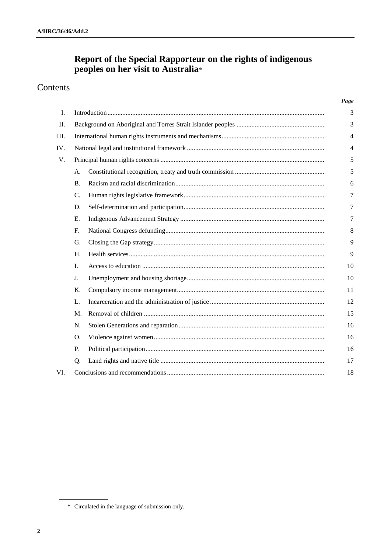# Report of the Special Rapporteur on the rights of indigenous peoples on her visit to Australia\*

## Contents

|      |                |  | Page |
|------|----------------|--|------|
| L.   |                |  |      |
| П.   |                |  |      |
| III. |                |  |      |
| IV.  |                |  |      |
| V.   |                |  | 5    |
|      | A.             |  | 5    |
|      | <b>B.</b>      |  | 6    |
|      | C.             |  | 7    |
|      | D.             |  | 7    |
|      | E.             |  | 7    |
|      | $F_{\cdot}$    |  | 8    |
|      | G.             |  | 9    |
|      | H <sub>1</sub> |  | 9    |
|      | $\mathbf{I}$ . |  | 10   |
|      | J <sub>r</sub> |  | 10   |
|      | Κ.             |  | 11   |
|      | L.             |  | 12   |
|      | M.             |  | 15   |
|      | N.             |  | 16   |
|      | O.             |  | 16   |
|      | P.             |  | 16   |
|      | Q.             |  | 17   |
| VI.  |                |  |      |

<sup>\*</sup> Circulated in the language of submission only.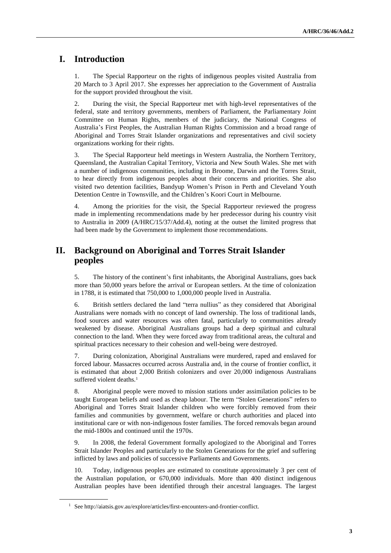## **I. Introduction**

1. The Special Rapporteur on the rights of indigenous peoples visited Australia from 20 March to 3 April 2017. She expresses her appreciation to the Government of Australia for the support provided throughout the visit.

2. During the visit, the Special Rapporteur met with high-level representatives of the federal, state and territory governments, members of Parliament, the Parliamentary Joint Committee on Human Rights, members of the judiciary, the National Congress of Australia's First Peoples, the Australian Human Rights Commission and a broad range of Aboriginal and Torres Strait Islander organizations and representatives and civil society organizations working for their rights.

3. The Special Rapporteur held meetings in Western Australia, the Northern Territory, Queensland, the Australian Capital Territory, Victoria and New South Wales. She met with a number of indigenous communities, including in Broome, Darwin and the Torres Strait, to hear directly from indigenous peoples about their concerns and priorities. She also visited two detention facilities, Bandyup Women's Prison in Perth and Cleveland Youth Detention Centre in Townsville, and the Children's Koori Court in Melbourne.

4. Among the priorities for the visit, the Special Rapporteur reviewed the progress made in implementing recommendations made by her predecessor during his country visit to Australia in 2009 (A/HRC/15/37/Add.4), noting at the outset the limited progress that had been made by the Government to implement those recommendations.

## **II. Background on Aboriginal and Torres Strait Islander peoples**

5. The history of the continent's first inhabitants, the Aboriginal Australians, goes back more than 50,000 years before the arrival or European settlers. At the time of colonization in 1788, it is estimated that 750,000 to 1,000,000 people lived in Australia.

6. British settlers declared the land "terra nullius" as they considered that Aboriginal Australians were nomads with no concept of land ownership. The loss of traditional lands, food sources and water resources was often fatal, particularly to communities already weakened by disease. Aboriginal Australians groups had a deep spiritual and cultural connection to the land. When they were forced away from traditional areas, the cultural and spiritual practices necessary to their cohesion and well-being were destroyed.

7. During colonization, Aboriginal Australians were murdered, raped and enslaved for forced labour. Massacres occurred across Australia and, in the course of frontier conflict, it is estimated that about 2,000 British colonizers and over 20,000 indigenous Australians suffered violent deaths.<sup>1</sup>

8. Aboriginal people were moved to mission stations under assimilation policies to be taught European beliefs and used as cheap labour. The term "Stolen Generations" refers to Aboriginal and Torres Strait Islander children who were forcibly removed from their families and communities by government, welfare or church authorities and placed into institutional care or with non-indigenous foster families. The forced removals began around the mid-1800s and continued until the 1970s.

9. In 2008, the federal Government formally apologized to the Aboriginal and Torres Strait Islander Peoples and particularly to the Stolen Generations for the grief and suffering inflicted by laws and policies of successive Parliaments and Governments.

10. Today, indigenous peoples are estimated to constitute approximately 3 per cent of the Australian population, or 670,000 individuals. More than 400 distinct indigenous Australian peoples have been identified through their ancestral languages. The largest

<sup>1</sup> See http://aiatsis.gov.au/explore/articles/first-encounters-and-frontier-conflict.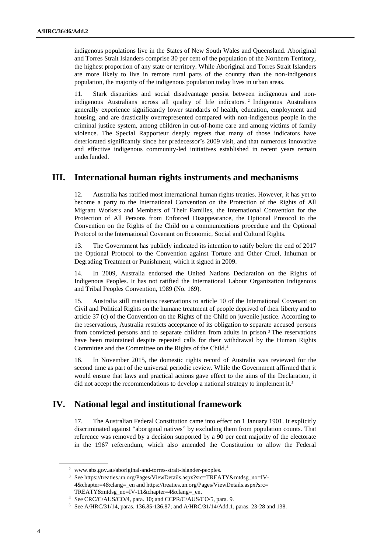indigenous populations live in the States of New South Wales and Queensland. Aboriginal and Torres Strait Islanders comprise 30 per cent of the population of the Northern Territory, the highest proportion of any state or territory. While Aboriginal and Torres Strait Islanders are more likely to live in remote rural parts of the country than the non-indigenous population, the majority of the indigenous population today lives in urban areas.

11. Stark disparities and social disadvantage persist between indigenous and nonindigenous Australians across all quality of life indicators. <sup>2</sup> Indigenous Australians generally experience significantly lower standards of health, education, employment and housing, and are drastically overrepresented compared with non-indigenous people in the criminal justice system, among children in out-of-home care and among victims of family violence. The Special Rapporteur deeply regrets that many of those indicators have deteriorated significantly since her predecessor's 2009 visit, and that numerous innovative and effective indigenous community-led initiatives established in recent years remain underfunded.

## **III. International human rights instruments and mechanisms**

12. Australia has ratified most international human rights treaties. However, it has yet to become a party to the International Convention on the Protection of the Rights of All Migrant Workers and Members of Their Families, the International Convention for the Protection of All Persons from Enforced Disappearance, the Optional Protocol to the Convention on the Rights of the Child on a communications procedure and the Optional Protocol to the International Covenant on Economic, Social and Cultural Rights.

13. The Government has publicly indicated its intention to ratify before the end of 2017 the Optional Protocol to the Convention against Torture and Other Cruel, Inhuman or Degrading Treatment or Punishment, which it signed in 2009.

14. In 2009, Australia endorsed the United Nations Declaration on the Rights of Indigenous Peoples. It has not ratified the International Labour Organization Indigenous and Tribal Peoples Convention, 1989 (No. 169).

15. Australia still maintains reservations to article 10 of the International Covenant on Civil and Political Rights on the humane treatment of people deprived of their liberty and to article 37 (c) of the Convention on the Rights of the Child on juvenile justice. According to the reservations, Australia restricts acceptance of its obligation to separate accused persons from convicted persons and to separate children from adults in prison.<sup>3</sup> The reservations have been maintained despite repeated calls for their withdrawal by the Human Rights Committee and the Committee on the Rights of the Child.<sup>4</sup>

16. In November 2015, the domestic rights record of Australia was reviewed for the second time as part of the universal periodic review. While the Government affirmed that it would ensure that laws and practical actions gave effect to the aims of the Declaration, it did not accept the recommendations to develop a national strategy to implement it.<sup>5</sup>

## **IV. National legal and institutional framework**

17. The Australian Federal Constitution came into effect on 1 January 1901. It explicitly discriminated against "aboriginal natives" by excluding them from population counts. That reference was removed by a decision supported by a 90 per cent majority of the electorate in the 1967 referendum, which also amended the Constitution to allow the Federal

<sup>2</sup> www.abs.gov.au/aboriginal-and-torres-strait-islander-peoples.

<sup>&</sup>lt;sup>3</sup> See https://treaties.un.org/Pages/ViewDetails.aspx?src=TREATY&mtdsg\_no=IV-4&chapter=4&clang=\_en and [https://treaties.un.org/Pages/ViewDetails.aspx?src=](https://treaties.un.org/Pages/ViewDetails.aspx?src=%20TREATY&mtdsg_no=IV-11&chapter=4&clang=_en)  [TREATY&mtdsg\\_no=IV-11&chapter=4&clang=\\_en.](https://treaties.un.org/Pages/ViewDetails.aspx?src=%20TREATY&mtdsg_no=IV-11&chapter=4&clang=_en) 

<sup>4</sup> See CRC/C/AUS/CO/4, para. 10; and CCPR/C/AUS/CO/5, para. 9.

<sup>5</sup> See A/HRC/31/14, paras. 136.85-136.87; and A/HRC/31/14/Add.1, paras. 23-28 and 138.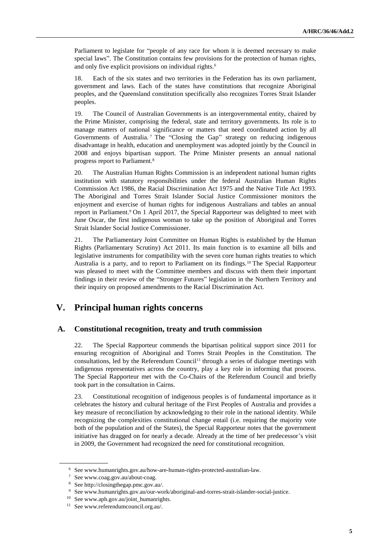Parliament to legislate for "people of any race for whom it is deemed necessary to make special laws". The Constitution contains few provisions for the protection of human rights, and only five explicit provisions on individual rights.<sup>6</sup>

18. Each of the six states and two territories in the Federation has its own parliament, government and laws. Each of the states have constitutions that recognize Aboriginal peoples, and the Queensland constitution specifically also recognizes Torres Strait Islander peoples.

19. The Council of Australian Governments is an intergovernmental entity, chaired by the Prime Minister, comprising the federal, state and territory governments. Its role is to manage matters of national significance or matters that need coordinated action by all Governments of Australia.<sup>7</sup> The "Closing the Gap" strategy on reducing indigenous disadvantage in health, education and unemployment was adopted jointly by the Council in 2008 and enjoys bipartisan support. The Prime Minister presents an annual national progress report to Parliament.<sup>8</sup>

20. The Australian Human Rights Commission is an independent national human rights institution with statutory responsibilities under the federal Australian Human Rights Commission Act 1986, the Racial Discrimination Act 1975 and the Native Title Act 1993. The Aboriginal and Torres Strait Islander Social Justice Commissioner monitors the enjoyment and exercise of human rights for indigenous Australians and tables an annual report in Parliament.<sup>9</sup> On 1 April 2017, the Special Rapporteur was delighted to meet with June Oscar, the first indigenous woman to take up the position of Aboriginal and Torres Strait Islander Social Justice Commissioner.

21. The Parliamentary Joint Committee on Human Rights is established by the Human Rights (Parliamentary Scrutiny) Act 2011. Its main function is to examine all bills and legislative instruments for compatibility with the seven core human rights treaties to which Australia is a party, and to report to Parliament on its findings.<sup>10</sup> The Special Rapporteur was pleased to meet with the Committee members and discuss with them their important findings in their review of the "Stronger Futures" legislation in the Northern Territory and their inquiry on proposed amendments to the Racial Discrimination Act.

## **V. Principal human rights concerns**

#### **A. Constitutional recognition, treaty and truth commission**

22. The Special Rapporteur commends the bipartisan political support since 2011 for ensuring recognition of Aboriginal and Torres Strait Peoples in the Constitution. The consultations, led by the Referendum Council<sup>11</sup> through a series of dialogue meetings with indigenous representatives across the country, play a key role in informing that process. The Special Rapporteur met with the Co-Chairs of the Referendum Council and briefly took part in the consultation in Cairns.

23. Constitutional recognition of indigenous peoples is of fundamental importance as it celebrates the history and cultural heritage of the First Peoples of Australia and provides a key measure of reconciliation by acknowledging to their role in the national identity. While recognizing the complexities constitutional change entail (i.e. requiring the majority vote both of the population and of the States), the Special Rapporteur notes that the government initiative has dragged on for nearly a decade. Already at the time of her predecessor's visit in 2009, the Government had recognized the need for constitutional recognition.

<sup>6</sup> See www.humanrights.gov.au/how-are-human-rights-protected-australian-law.

<sup>7</sup> See www.coag.gov.au/about-coag.

<sup>8</sup> See http://closingthegap.pmc.gov.au/.

<sup>9</sup> See www.humanrights.gov.au/our-work/aboriginal-and-torres-strait-islander-social-justice.

<sup>10</sup> See www.aph.gov.au/joint\_humanrights.

<sup>11</sup> See www.referendumcouncil.org.au/.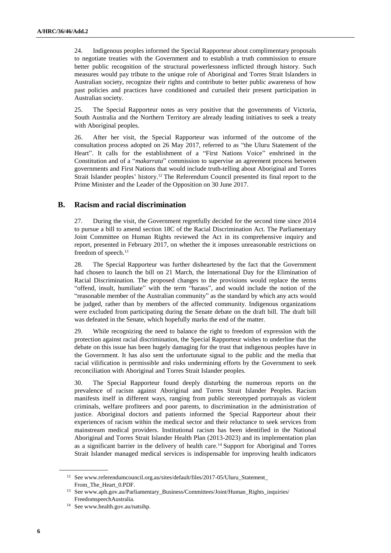24. Indigenous peoples informed the Special Rapporteur about complimentary proposals to negotiate treaties with the Government and to establish a truth commission to ensure better public recognition of the structural powerlessness inflicted through history. Such measures would pay tribute to the unique role of Aboriginal and Torres Strait Islanders in Australian society, recognize their rights and contribute to better public awareness of how past policies and practices have conditioned and curtailed their present participation in Australian society.

25. The Special Rapporteur notes as very positive that the governments of Victoria, South Australia and the Northern Territory are already leading initiatives to seek a treaty with Aboriginal peoples.

26. After her visit, the Special Rapporteur was informed of the outcome of the consultation process adopted on 26 May 2017, referred to as "the Uluru Statement of the Heart". It calls for the establishment of a "First Nations Voice" enshrined in the Constitution and of a "*makarrata*" commission to supervise an agreement process between governments and First Nations that would include truth-telling about Aboriginal and Torres Strait Islander peoples' history.<sup>12</sup> The Referendum Council presented its final report to the Prime Minister and the Leader of the Opposition on 30 June 2017.

#### **B. Racism and racial discrimination**

27. During the visit, the Government regretfully decided for the second time since 2014 to pursue a bill to amend section 18C of the Racial Discrimination Act. The Parliamentary Joint Committee on Human Rights reviewed the Act in its comprehensive inquiry and report, presented in February 2017, on whether the it imposes unreasonable restrictions on freedom of speech.<sup>13</sup>

28. The Special Rapporteur was further disheartened by the fact that the Government had chosen to launch the bill on 21 March, the International Day for the Elimination of Racial Discrimination. The proposed changes to the provisions would replace the terms "offend, insult, humiliate" with the term "harass", and would include the notion of the "reasonable member of the Australian community" as the standard by which any acts would be judged, rather than by members of the affected community. Indigenous organizations were excluded from participating during the Senate debate on the draft bill. The draft bill was defeated in the Senate, which hopefully marks the end of the matter.

29. While recognizing the need to balance the right to freedom of expression with the protection against racial discrimination, the Special Rapporteur wishes to underline that the debate on this issue has been hugely damaging for the trust that indigenous peoples have in the Government. It has also sent the unfortunate signal to the public and the media that racial vilification is permissible and risks undermining efforts by the Government to seek reconciliation with Aboriginal and Torres Strait Islander peoples.

30. The Special Rapporteur found deeply disturbing the numerous reports on the prevalence of racism against Aboriginal and Torres Strait Islander Peoples. Racism manifests itself in different ways, ranging from public stereotyped portrayals as violent criminals, welfare profiteers and poor parents, to discrimination in the administration of justice. Aboriginal doctors and patients informed the Special Rapporteur about their experiences of racism within the medical sector and their reluctance to seek services from mainstream medical providers. Institutional racism has been identified in the National Aboriginal and Torres Strait Islander Health Plan (2013-2023) and its implementation plan as a significant barrier in the delivery of health care.<sup>14</sup> Support for Aboriginal and Torres Strait Islander managed medical services is indispensable for improving health indicators

<sup>12</sup> See www.referendumcouncil.org.au/sites/default/files/2017-05/Uluru\_Statement\_ From\_The\_Heart\_0.PDF.

<sup>&</sup>lt;sup>13</sup> See www.aph.gov.au/Parliamentary\_Business/Committees/Joint/Human\_Rights\_inquiries/ FreedomspeechAustralia.

<sup>14</sup> See www.health.gov.au/natsihp.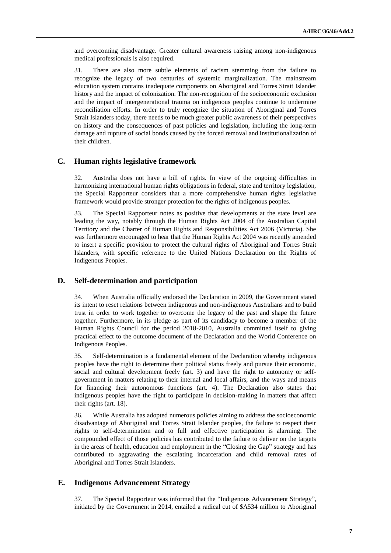and overcoming disadvantage. Greater cultural awareness raising among non-indigenous medical professionals is also required.

31. There are also more subtle elements of racism stemming from the failure to recognize the legacy of two centuries of systemic marginalization. The mainstream education system contains inadequate components on Aboriginal and Torres Strait Islander history and the impact of colonization. The non-recognition of the socioeconomic exclusion and the impact of intergenerational trauma on indigenous peoples continue to undermine reconciliation efforts. In order to truly recognize the situation of Aboriginal and Torres Strait Islanders today, there needs to be much greater public awareness of their perspectives on history and the consequences of past policies and legislation, including the long-term damage and rupture of social bonds caused by the forced removal and institutionalization of their children.

#### **C. Human rights legislative framework**

32. Australia does not have a bill of rights. In view of the ongoing difficulties in harmonizing international human rights obligations in federal, state and territory legislation, the Special Rapporteur considers that a more comprehensive human rights legislative framework would provide stronger protection for the rights of indigenous peoples.

33. The Special Rapporteur notes as positive that developments at the state level are leading the way, notably through the Human Rights Act 2004 of the Australian Capital Territory and the Charter of Human Rights and Responsibilities Act 2006 (Victoria). She was furthermore encouraged to hear that the Human Rights Act 2004 was recently amended to insert a specific provision to protect the cultural rights of Aboriginal and Torres Strait Islanders, with specific reference to the United Nations Declaration on the Rights of Indigenous Peoples.

#### **D. Self-determination and participation**

34. When Australia officially endorsed the Declaration in 2009, the Government stated its intent to reset relations between indigenous and non-indigenous Australians and to build trust in order to work together to overcome the legacy of the past and shape the future together. Furthermore, in its pledge as part of its candidacy to become a member of the Human Rights Council for the period 2018-2010, Australia committed itself to giving practical effect to the outcome document of the Declaration and the World Conference on Indigenous Peoples.

35. Self-determination is a fundamental element of the Declaration whereby indigenous peoples have the right to determine their political status freely and pursue their economic, social and cultural development freely (art. 3) and have the right to autonomy or selfgovernment in matters relating to their internal and local affairs, and the ways and means for financing their autonomous functions (art. 4). The Declaration also states that indigenous peoples have the right to participate in decision-making in matters that affect their rights (art. 18).

36. While Australia has adopted numerous policies aiming to address the socioeconomic disadvantage of Aboriginal and Torres Strait Islander peoples, the failure to respect their rights to self-determination and to full and effective participation is alarming. The compounded effect of those policies has contributed to the failure to deliver on the targets in the areas of health, education and employment in the "Closing the Gap" strategy and has contributed to aggravating the escalating incarceration and child removal rates of Aboriginal and Torres Strait Islanders.

#### **E. Indigenous Advancement Strategy**

37. The Special Rapporteur was informed that the "Indigenous Advancement Strategy", initiated by the Government in 2014, entailed a radical cut of \$A534 million to Aboriginal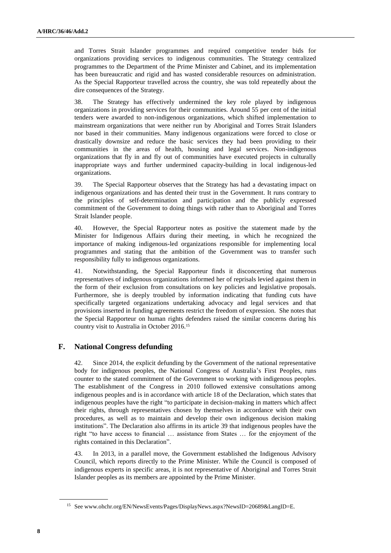and Torres Strait Islander programmes and required competitive tender bids for organizations providing services to indigenous communities. The Strategy centralized programmes to the Department of the Prime Minister and Cabinet, and its implementation has been bureaucratic and rigid and has wasted considerable resources on administration. As the Special Rapporteur travelled across the country, she was told repeatedly about the dire consequences of the Strategy.

38. The Strategy has effectively undermined the key role played by indigenous organizations in providing services for their communities. Around 55 per cent of the initial tenders were awarded to non-indigenous organizations, which shifted implementation to mainstream organizations that were neither run by Aboriginal and Torres Strait Islanders nor based in their communities. Many indigenous organizations were forced to close or drastically downsize and reduce the basic services they had been providing to their communities in the areas of health, housing and legal services. Non-indigenous organizations that fly in and fly out of communities have executed projects in culturally inappropriate ways and further undermined capacity-building in local indigenous-led organizations.

39. The Special Rapporteur observes that the Strategy has had a devastating impact on indigenous organizations and has dented their trust in the Government. It runs contrary to the principles of self-determination and participation and the publicly expressed commitment of the Government to doing things with rather than to Aboriginal and Torres Strait Islander people.

40. However, the Special Rapporteur notes as positive the statement made by the Minister for Indigenous Affairs during their meeting, in which he recognized the importance of making indigenous-led organizations responsible for implementing local programmes and stating that the ambition of the Government was to transfer such responsibility fully to indigenous organizations.

41. Notwithstanding, the Special Rapporteur finds it disconcerting that numerous representatives of indigenous organizations informed her of reprisals levied against them in the form of their exclusion from consultations on key policies and legislative proposals. Furthermore, she is deeply troubled by information indicating that funding cuts have specifically targeted organizations undertaking advocacy and legal services and that provisions inserted in funding agreements restrict the freedom of expression. She notes that the Special Rapporteur on human rights defenders raised the similar concerns during his country visit to Australia in October 2016.<sup>15</sup>

#### **F. National Congress defunding**

Since 2014, the explicit defunding by the Government of the national representative body for indigenous peoples, the National Congress of Australia's First Peoples, runs counter to the stated commitment of the Government to working with indigenous peoples. The establishment of the Congress in 2010 followed extensive consultations among indigenous peoples and is in accordance with article 18 of the Declaration, which states that indigenous peoples have the right "to participate in decision-making in matters which affect their rights, through representatives chosen by themselves in accordance with their own procedures, as well as to maintain and develop their own indigenous decision making institutions". The Declaration also affirms in its article 39 that indigenous peoples have the right "to have access to financial … assistance from States … for the enjoyment of the rights contained in this Declaration".

43. In 2013, in a parallel move, the Government established the Indigenous Advisory Council, which reports directly to the Prime Minister. While the Council is composed of indigenous experts in specific areas, it is not representative of Aboriginal and Torres Strait Islander peoples as its members are appointed by the Prime Minister.

<sup>15</sup> See www.ohchr.org/EN/NewsEvents/Pages/DisplayNews.aspx?NewsID=20689&LangID=E.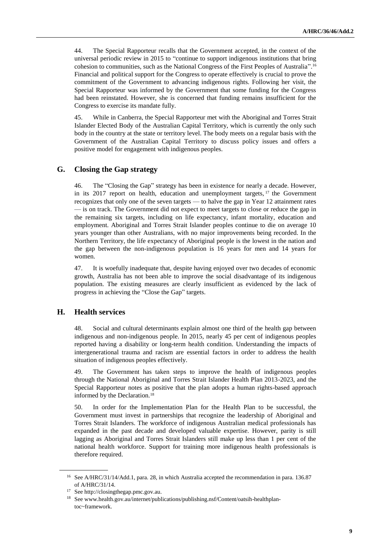44. The Special Rapporteur recalls that the Government accepted, in the context of the universal periodic review in 2015 to "continue to support indigenous institutions that bring cohesion to communities, such as the National Congress of the First Peoples of Australia". 16 Financial and political support for the Congress to operate effectively is crucial to prove the commitment of the Government to advancing indigenous rights. Following her visit, the Special Rapporteur was informed by the Government that some funding for the Congress had been reinstated. However, she is concerned that funding remains insufficient for the Congress to exercise its mandate fully.

45. While in Canberra, the Special Rapporteur met with the Aboriginal and Torres Strait Islander Elected Body of the Australian Capital Territory, which is currently the only such body in the country at the state or territory level. The body meets on a regular basis with the Government of the Australian Capital Territory to discuss policy issues and offers a positive model for engagement with indigenous peoples.

#### **G. Closing the Gap strategy**

46. The "Closing the Gap" strategy has been in existence for nearly a decade. However, in its 2017 report on health, education and unemployment targets,  $17$  the Government recognizes that only one of the seven targets — to halve the gap in Year 12 attainment rates — is on track. The Government did not expect to meet targets to close or reduce the gap in the remaining six targets, including on life expectancy, infant mortality, education and employment. Aboriginal and Torres Strait Islander peoples continue to die on average 10 years younger than other Australians, with no major improvements being recorded. In the Northern Territory, the life expectancy of Aboriginal people is the lowest in the nation and the gap between the non-indigenous population is 16 years for men and 14 years for women.

47. It is woefully inadequate that, despite having enjoyed over two decades of economic growth, Australia has not been able to improve the social disadvantage of its indigenous population. The existing measures are clearly insufficient as evidenced by the lack of progress in achieving the "Close the Gap" targets.

#### **H. Health services**

48. Social and cultural determinants explain almost one third of the health gap between indigenous and non-indigenous people. In 2015, nearly 45 per cent of indigenous peoples reported having a disability or long-term health condition. Understanding the impacts of intergenerational trauma and racism are essential factors in order to address the health situation of indigenous peoples effectively.

49. The Government has taken steps to improve the health of indigenous peoples through the National Aboriginal and Torres Strait Islander Health Plan 2013-2023, and the Special Rapporteur notes as positive that the plan adopts a human rights-based approach informed by the Declaration.<sup>18</sup>

50. In order for the Implementation Plan for the Health Plan to be successful, the Government must invest in partnerships that recognize the leadership of Aboriginal and Torres Strait Islanders. The workforce of indigenous Australian medical professionals has expanded in the past decade and developed valuable expertise. However, parity is still lagging as Aboriginal and Torres Strait Islanders still make up less than 1 per cent of the national health workforce. Support for training more indigenous health professionals is therefore required.

<sup>16</sup> See A/HRC/31/14/Add.1, para. 28, in which Australia accepted the recommendation in para. 136.87 of A/HRC/31/14.

<sup>17</sup> See http://closingthegap.pmc.gov.au.

<sup>&</sup>lt;sup>18</sup> See www.health.gov.au/internet/publications/publishing.nsf/Content/oatsih-healthplantoc~framework.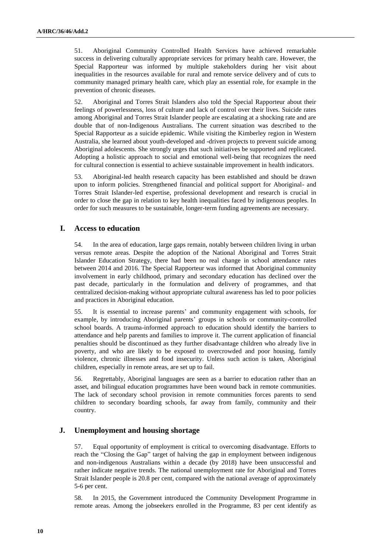51. Aboriginal Community Controlled Health Services have achieved remarkable success in delivering culturally appropriate services for primary health care. However, the Special Rapporteur was informed by multiple stakeholders during her visit about inequalities in the resources available for rural and remote service delivery and of cuts to community managed primary health care, which play an essential role, for example in the prevention of chronic diseases.

52. Aboriginal and Torres Strait Islanders also told the Special Rapporteur about their feelings of powerlessness, loss of culture and lack of control over their lives. Suicide rates among Aboriginal and Torres Strait Islander people are escalating at a shocking rate and are double that of non-Indigenous Australians. The current situation was described to the Special Rapporteur as a suicide epidemic. While visiting the Kimberley region in Western Australia, she learned about youth-developed and -driven projects to prevent suicide among Aboriginal adolescents. She strongly urges that such initiatives be supported and replicated. Adopting a holistic approach to social and emotional well-being that recognizes the need for cultural connection is essential to achieve sustainable improvement in health indicators.

53. Aboriginal-led health research capacity has been established and should be drawn upon to inform policies. Strengthened financial and political support for Aboriginal- and Torres Strait Islander-led expertise, professional development and research is crucial in order to close the gap in relation to key health inequalities faced by indigenous peoples. In order for such measures to be sustainable, longer-term funding agreements are necessary.

#### **I. Access to education**

54. In the area of education, large gaps remain, notably between children living in urban versus remote areas. Despite the adoption of the National Aboriginal and Torres Strait Islander Education Strategy, there had been no real change in school attendance rates between 2014 and 2016. The Special Rapporteur was informed that Aboriginal community involvement in early childhood, primary and secondary education has declined over the past decade, particularly in the formulation and delivery of programmes, and that centralized decision-making without appropriate cultural awareness has led to poor policies and practices in Aboriginal education.

55. It is essential to increase parents' and community engagement with schools, for example, by introducing Aboriginal parents' groups in schools or community-controlled school boards. A trauma-informed approach to education should identify the barriers to attendance and help parents and families to improve it. The current application of financial penalties should be discontinued as they further disadvantage children who already live in poverty, and who are likely to be exposed to overcrowded and poor housing, family violence, chronic illnesses and food insecurity. Unless such action is taken, Aboriginal children, especially in remote areas, are set up to fail.

56. Regrettably, Aboriginal languages are seen as a barrier to education rather than an asset, and bilingual education programmes have been wound back in remote communities. The lack of secondary school provision in remote communities forces parents to send children to secondary boarding schools, far away from family, community and their country.

#### **J. Unemployment and housing shortage**

57. Equal opportunity of employment is critical to overcoming disadvantage. Efforts to reach the "Closing the Gap" target of halving the gap in employment between indigenous and non-indigenous Australians within a decade (by 2018) have been unsuccessful and rather indicate negative trends. The national unemployment rate for Aboriginal and Torres Strait Islander people is 20.8 per cent, compared with the national average of approximately 5-6 per cent.

58. In 2015, the Government introduced the Community Development Programme in remote areas. Among the jobseekers enrolled in the Programme, 83 per cent identify as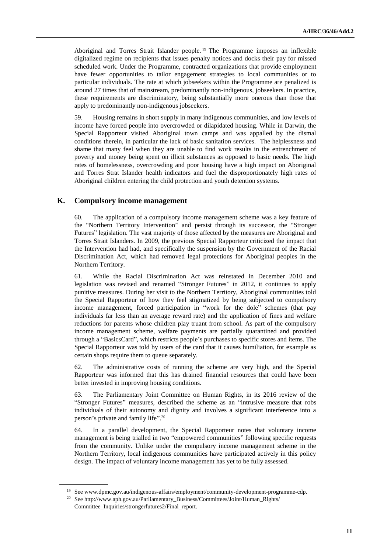Aboriginal and Torres Strait Islander people. <sup>19</sup> The Programme imposes an inflexible digitalized regime on recipients that issues penalty notices and docks their pay for missed scheduled work. Under the Programme, contracted organizations that provide employment have fewer opportunities to tailor engagement strategies to local communities or to particular individuals. The rate at which jobseekers within the Programme are penalized is around 27 times that of mainstream, predominantly non-indigenous, jobseekers. In practice, these requirements are discriminatory, being substantially more onerous than those that apply to predominantly non-indigenous jobseekers.

59. Housing remains in short supply in many indigenous communities, and low levels of income have forced people into overcrowded or dilapidated housing. While in Darwin, the Special Rapporteur visited Aboriginal town camps and was appalled by the dismal conditions therein, in particular the lack of basic sanitation services. The helplessness and shame that many feel when they are unable to find work results in the entrenchment of poverty and money being spent on illicit substances as opposed to basic needs. The high rates of homelessness, overcrowding and poor housing have a high impact on Aboriginal and Torres Strat Islander health indicators and fuel the disproportionately high rates of Aboriginal children entering the child protection and youth detention systems.

#### **K. Compulsory income management**

60. The application of a compulsory income management scheme was a key feature of the "Northern Territory Intervention" and persist through its successor, the "Stronger Futures" legislation. The vast majority of those affected by the measures are Aboriginal and Torres Strait Islanders. In 2009, the previous Special Rapporteur criticized the impact that the Intervention had had, and specifically the suspension by the Government of the Racial Discrimination Act, which had removed legal protections for Aboriginal peoples in the Northern Territory.

61. While the Racial Discrimination Act was reinstated in December 2010 and legislation was revised and renamed "Stronger Futures" in 2012, it continues to apply punitive measures. During her visit to the Northern Territory, Aboriginal communities told the Special Rapporteur of how they feel stigmatized by being subjected to compulsory income management, forced participation in "work for the dole" schemes (that pay individuals far less than an average reward rate) and the application of fines and welfare reductions for parents whose children play truant from school. As part of the compulsory income management scheme, welfare payments are partially quarantined and provided through a "BasicsCard", which restricts people's purchases to specific stores and items. The Special Rapporteur was told by users of the card that it causes humiliation, for example as certain shops require them to queue separately.

62. The administrative costs of running the scheme are very high, and the Special Rapporteur was informed that this has drained financial resources that could have been better invested in improving housing conditions.

63. The Parliamentary Joint Committee on Human Rights, in its 2016 review of the "Stronger Futures" measures, described the scheme as an "intrusive measure that robs individuals of their autonomy and dignity and involves a significant interference into a person's private and family life". 20

64. In a parallel development, the Special Rapporteur notes that voluntary income management is being trialled in two "empowered communities" following specific requests from the community. Unlike under the compulsory income management scheme in the Northern Territory, local indigenous communities have participated actively in this policy design. The impact of voluntary income management has yet to be fully assessed.

<sup>19</sup> See www.dpmc.gov.au/indigenous-affairs/employment/community-development-programme-cdp.

<sup>20</sup> See http://www.aph.gov.au/Parliamentary\_Business/Committees/Joint/Human\_Rights/ Committee\_Inquiries/strongerfutures2/Final\_report.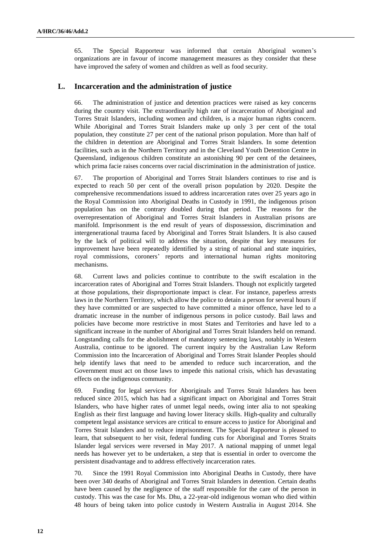65. The Special Rapporteur was informed that certain Aboriginal women's organizations are in favour of income management measures as they consider that these have improved the safety of women and children as well as food security.

#### **L. Incarceration and the administration of justice**

66. The administration of justice and detention practices were raised as key concerns during the country visit. The extraordinarily high rate of incarceration of Aboriginal and Torres Strait Islanders, including women and children, is a major human rights concern. While Aboriginal and Torres Strait Islanders make up only 3 per cent of the total population, they constitute 27 per cent of the national prison population. More than half of the children in detention are Aboriginal and Torres Strait Islanders. In some detention facilities, such as in the Northern Territory and in the Cleveland Youth Detention Centre in Queensland, indigenous children constitute an astonishing 90 per cent of the detainees, which prima facie raises concerns over racial discrimination in the administration of justice.

67. The proportion of Aboriginal and Torres Strait Islanders continues to rise and is expected to reach 50 per cent of the overall prison population by 2020. Despite the comprehensive recommendations issued to address incarceration rates over 25 years ago in the Royal Commission into Aboriginal Deaths in Custody in 1991, the indigenous prison population has on the contrary doubled during that period. The reasons for the overrepresentation of Aboriginal and Torres Strait Islanders in Australian prisons are manifold. Imprisonment is the end result of years of dispossession, discrimination and intergenerational trauma faced by Aboriginal and Torres Strait Islanders. It is also caused by the lack of political will to address the situation, despite that key measures for improvement have been repeatedly identified by a string of national and state inquiries, royal commissions, coroners' reports and international human rights monitoring mechanisms.

68. Current laws and policies continue to contribute to the swift escalation in the incarceration rates of Aboriginal and Torres Strait Islanders. Though not explicitly targeted at those populations, their disproportionate impact is clear. For instance, paperless arrests laws in the Northern Territory, which allow the police to detain a person for several hours if they have committed or are suspected to have committed a minor offence, have led to a dramatic increase in the number of indigenous persons in police custody. Bail laws and policies have become more restrictive in most States and Territories and have led to a significant increase in the number of Aboriginal and Torres Strait Islanders held on remand. Longstanding calls for the abolishment of mandatory sentencing laws, notably in Western Australia, continue to be ignored. The current inquiry by the Australian Law Reform Commission into the Incarceration of Aboriginal and Torres Strait Islander Peoples should help identify laws that need to be amended to reduce such incarceration, and the Government must act on those laws to impede this national crisis, which has devastating effects on the indigenous community.

69. Funding for legal services for Aboriginals and Torres Strait Islanders has been reduced since 2015, which has had a significant impact on Aboriginal and Torres Strait Islanders, who have higher rates of unmet legal needs, owing inter alia to not speaking English as their first language and having lower literacy skills. High-quality and culturally competent legal assistance services are critical to ensure access to justice for Aboriginal and Torres Strait Islanders and to reduce imprisonment. The Special Rapporteur is pleased to learn, that subsequent to her visit, federal funding cuts for Aboriginal and Torres Straits Islander legal services were reversed in May 2017. A national mapping of unmet legal needs has however yet to be undertaken, a step that is essential in order to overcome the persistent disadvantage and to address effectively incarceration rates.

70. Since the 1991 Royal Commission into Aboriginal Deaths in Custody, there have been over 340 deaths of Aboriginal and Torres Strait Islanders in detention. Certain deaths have been caused by the negligence of the staff responsible for the care of the person in custody. This was the case for Ms. Dhu, a 22-year-old indigenous woman who died within 48 hours of being taken into police custody in Western Australia in August 2014. She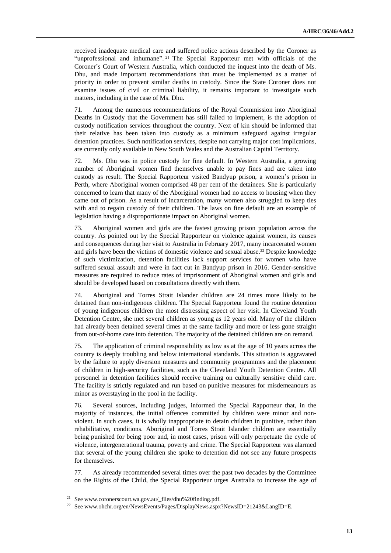received inadequate medical care and suffered police actions described by the Coroner as "unprofessional and inhumane". <sup>21</sup> The Special Rapporteur met with officials of the Coroner's Court of Western Australia, which conducted the inquest into the death of Ms. Dhu, and made important recommendations that must be implemented as a matter of priority in order to prevent similar deaths in custody. Since the State Coroner does not examine issues of civil or criminal liability, it remains important to investigate such matters, including in the case of Ms. Dhu.

71. Among the numerous recommendations of the Royal Commission into Aboriginal Deaths in Custody that the Government has still failed to implement, is the adoption of custody notification services throughout the country. Next of kin should be informed that their relative has been taken into custody as a minimum safeguard against irregular detention practices. Such notification services, despite not carrying major cost implications, are currently only available in New South Wales and the Australian Capital Territory.

72. Ms. Dhu was in police custody for fine default. In Western Australia, a growing number of Aboriginal women find themselves unable to pay fines and are taken into custody as result. The Special Rapporteur visited Bandyup prison, a women's prison in Perth, where Aboriginal women comprised 48 per cent of the detainees. She is particularly concerned to learn that many of the Aboriginal women had no access to housing when they came out of prison. As a result of incarceration, many women also struggled to keep ties with and to regain custody of their children. The laws on fine default are an example of legislation having a disproportionate impact on Aboriginal women.

73. Aboriginal women and girls are the fastest growing prison population across the country. As pointed out by the Special Rapporteur on violence against women, its causes and consequences during her visit to Australia in February 2017, many incarcerated women and girls have been the victims of domestic violence and sexual abuse.<sup>22</sup> Despite knowledge of such victimization, detention facilities lack support services for women who have suffered sexual assault and were in fact cut in Bandyup prison in 2016. Gender-sensitive measures are required to reduce rates of imprisonment of Aboriginal women and girls and should be developed based on consultations directly with them.

74. Aboriginal and Torres Strait Islander children are 24 times more likely to be detained than non-indigenous children. The Special Rapporteur found the routine detention of young indigenous children the most distressing aspect of her visit. In Cleveland Youth Detention Centre, she met several children as young as 12 years old. Many of the children had already been detained several times at the same facility and more or less gone straight from out-of-home care into detention. The majority of the detained children are on remand.

75. The application of criminal responsibility as low as at the age of 10 years across the country is deeply troubling and below international standards. This situation is aggravated by the failure to apply diversion measures and community programmes and the placement of children in high-security facilities, such as the Cleveland Youth Detention Centre. All personnel in detention facilities should receive training on culturally sensitive child care. The facility is strictly regulated and run based on punitive measures for misdemeanours as minor as overstaying in the pool in the facility.

76. Several sources, including judges, informed the Special Rapporteur that, in the majority of instances, the initial offences committed by children were minor and nonviolent. In such cases, it is wholly inappropriate to detain children in punitive, rather than rehabilitative, conditions. Aboriginal and Torres Strait Islander children are essentially being punished for being poor and, in most cases, prison will only perpetuate the cycle of violence, intergenerational trauma, poverty and crime. The Special Rapporteur was alarmed that several of the young children she spoke to detention did not see any future prospects for themselves.

77. As already recommended several times over the past two decades by the Committee on the Rights of the Child, the Special Rapporteur urges Australia to increase the age of

<sup>21</sup> See www.coronerscourt.wa.gov.au/\_files/dhu%20finding.pdf.

<sup>22</sup> See www.ohchr.org/en/NewsEvents/Pages/DisplayNews.aspx?NewsID=21243&LangID=E.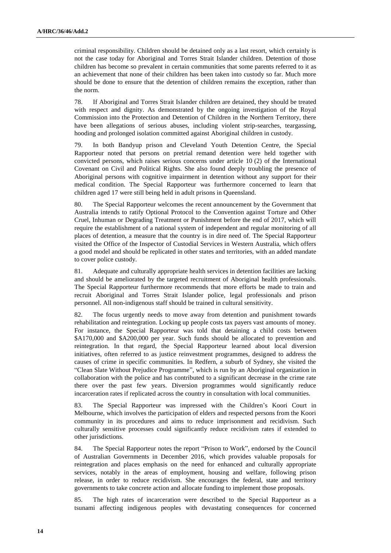criminal responsibility. Children should be detained only as a last resort, which certainly is not the case today for Aboriginal and Torres Strait Islander children. Detention of those children has become so prevalent in certain communities that some parents referred to it as an achievement that none of their children has been taken into custody so far. Much more should be done to ensure that the detention of children remains the exception, rather than the norm.

78. If Aboriginal and Torres Strait Islander children are detained, they should be treated with respect and dignity. As demonstrated by the ongoing investigation of the Royal Commission into the Protection and Detention of Children in the Northern Territory, there have been allegations of serious abuses, including violent strip-searches, teargassing, hooding and prolonged isolation committed against Aboriginal children in custody.

79. In both Bandyup prison and Cleveland Youth Detention Centre, the Special Rapporteur noted that persons on pretrial remand detention were held together with convicted persons, which raises serious concerns under article 10 (2) of the International Covenant on Civil and Political Rights. She also found deeply troubling the presence of Aboriginal persons with cognitive impairment in detention without any support for their medical condition. The Special Rapporteur was furthermore concerned to learn that children aged 17 were still being held in adult prisons in Queensland.

80. The Special Rapporteur welcomes the recent announcement by the Government that Australia intends to ratify Optional Protocol to the Convention against Torture and Other Cruel, Inhuman or Degrading Treatment or Punishment before the end of 2017, which will require the establishment of a national system of independent and regular monitoring of all places of detention, a measure that the country is in dire need of. The Special Rapporteur visited the Office of the Inspector of Custodial Services in Western Australia, which offers a good model and should be replicated in other states and territories, with an added mandate to cover police custody.

81. Adequate and culturally appropriate health services in detention facilities are lacking and should be ameliorated by the targeted recruitment of Aboriginal health professionals. The Special Rapporteur furthermore recommends that more efforts be made to train and recruit Aboriginal and Torres Strait Islander police, legal professionals and prison personnel. All non-indigenous staff should be trained in cultural sensitivity.

82. The focus urgently needs to move away from detention and punishment towards rehabilitation and reintegration. Locking up people costs tax payers vast amounts of money. For instance, the Special Rapporteur was told that detaining a child costs between \$A170,000 and \$A200,000 per year. Such funds should be allocated to prevention and reintegration. In that regard, the Special Rapporteur learned about local diversion initiatives, often referred to as justice reinvestment programmes, designed to address the causes of crime in specific communities. In Redfern, a suburb of Sydney, she visited the "Clean Slate Without Prejudice Programme", which is run by an Aboriginal organization in collaboration with the police and has contributed to a significant decrease in the crime rate there over the past few years. Diversion programmes would significantly reduce incarceration rates if replicated across the country in consultation with local communities.

83. The Special Rapporteur was impressed with the Children's Koori Court in Melbourne, which involves the participation of elders and respected persons from the Koori community in its procedures and aims to reduce imprisonment and recidivism. Such culturally sensitive processes could significantly reduce recidivism rates if extended to other jurisdictions.

84. The Special Rapporteur notes the report "Prison to Work", endorsed by the Council of Australian Governments in December 2016, which provides valuable proposals for reintegration and places emphasis on the need for enhanced and culturally appropriate services, notably in the areas of employment, housing and welfare, following prison release, in order to reduce recidivism. She encourages the federal, state and territory governments to take concrete action and allocate funding to implement those proposals.

85. The high rates of incarceration were described to the Special Rapporteur as a tsunami affecting indigenous peoples with devastating consequences for concerned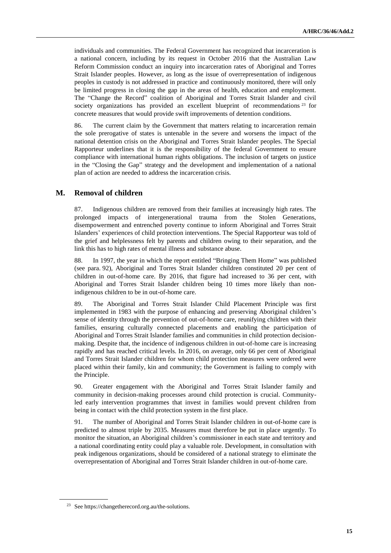individuals and communities. The Federal Government has recognized that incarceration is a national concern, including by its request in October 2016 that the Australian Law Reform Commission conduct an inquiry into incarceration rates of Aboriginal and Torres Strait Islander peoples. However, as long as the issue of overrepresentation of indigenous peoples in custody is not addressed in practice and continuously monitored, there will only be limited progress in closing the gap in the areas of health, education and employment. The "Change the Record" coalition of Aboriginal and Torres Strait Islander and civil society organizations has provided an excellent blueprint of recommendations<sup>23</sup> for concrete measures that would provide swift improvements of detention conditions.

86. The current claim by the Government that matters relating to incarceration remain the sole prerogative of states is untenable in the severe and worsens the impact of the national detention crisis on the Aboriginal and Torres Strait Islander peoples. The Special Rapporteur underlines that it is the responsibility of the federal Government to ensure compliance with international human rights obligations. The inclusion of targets on justice in the "Closing the Gap" strategy and the development and implementation of a national plan of action are needed to address the incarceration crisis.

#### **M. Removal of children**

87. Indigenous children are removed from their families at increasingly high rates. The prolonged impacts of intergenerational trauma from the Stolen Generations, disempowerment and entrenched poverty continue to inform Aboriginal and Torres Strait Islanders' experiences of child protection interventions. The Special Rapporteur was told of the grief and helplessness felt by parents and children owing to their separation, and the link this has to high rates of mental illness and substance abuse.

88. In 1997, the year in which the report entitled "Bringing Them Home" was published (see para. 92), Aboriginal and Torres Strait Islander children constituted 20 per cent of children in out-of-home care. By 2016, that figure had increased to 36 per cent, with Aboriginal and Torres Strait Islander children being 10 times more likely than nonindigenous children to be in out-of-home care.

89. The Aboriginal and Torres Strait Islander Child Placement Principle was first implemented in 1983 with the purpose of enhancing and preserving Aboriginal children's sense of identity through the prevention of out-of-home care, reunifying children with their families, ensuring culturally connected placements and enabling the participation of Aboriginal and Torres Strait Islander families and communities in child protection decisionmaking. Despite that, the incidence of indigenous children in out-of-home care is increasing rapidly and has reached critical levels. In 2016, on average, only 66 per cent of Aboriginal and Torres Strait Islander children for whom child protection measures were ordered were placed within their family, kin and community; the Government is failing to comply with the Principle.

90. Greater engagement with the Aboriginal and Torres Strait Islander family and community in decision-making processes around child protection is crucial. Communityled early intervention programmes that invest in families would prevent children from being in contact with the child protection system in the first place.

91. The number of Aboriginal and Torres Strait Islander children in out-of-home care is predicted to almost triple by 2035. Measures must therefore be put in place urgently. To monitor the situation, an Aboriginal children's commissioner in each state and territory and a national coordinating entity could play a valuable role. Development, in consultation with peak indigenous organizations, should be considered of a national strategy to eliminate the overrepresentation of Aboriginal and Torres Strait Islander children in out-of-home care.

<sup>23</sup> See https://changetherecord.org.au/the-solutions.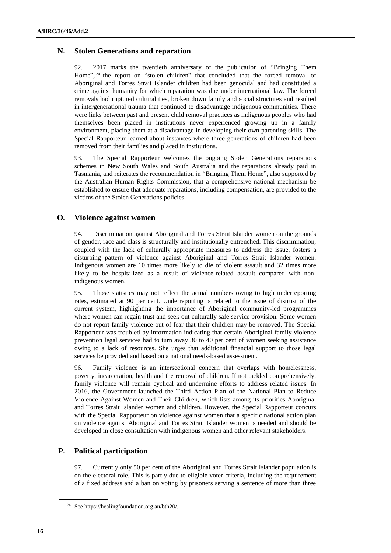#### **N. Stolen Generations and reparation**

92. 2017 marks the twentieth anniversary of the publication of "Bringing Them Home", <sup>24</sup> the report on "stolen children" that concluded that the forced removal of Aboriginal and Torres Strait Islander children had been genocidal and had constituted a crime against humanity for which reparation was due under international law. The forced removals had ruptured cultural ties, broken down family and social structures and resulted in intergenerational trauma that continued to disadvantage indigenous communities. There were links between past and present child removal practices as indigenous peoples who had themselves been placed in institutions never experienced growing up in a family environment, placing them at a disadvantage in developing their own parenting skills. The Special Rapporteur learned about instances where three generations of children had been removed from their families and placed in institutions.

93. The Special Rapporteur welcomes the ongoing Stolen Generations reparations schemes in New South Wales and South Australia and the reparations already paid in Tasmania, and reiterates the recommendation in "Bringing Them Home", also supported by the Australian Human Rights Commission, that a comprehensive national mechanism be established to ensure that adequate reparations, including compensation, are provided to the victims of the Stolen Generations policies.

#### **O. Violence against women**

94. Discrimination against Aboriginal and Torres Strait Islander women on the grounds of gender, race and class is structurally and institutionally entrenched. This discrimination, coupled with the lack of culturally appropriate measures to address the issue, fosters a disturbing pattern of violence against Aboriginal and Torres Strait Islander women. Indigenous women are 10 times more likely to die of violent assault and 32 times more likely to be hospitalized as a result of violence-related assault compared with nonindigenous women.

95. Those statistics may not reflect the actual numbers owing to high underreporting rates, estimated at 90 per cent. Underreporting is related to the issue of distrust of the current system, highlighting the importance of Aboriginal community-led programmes where women can regain trust and seek out culturally safe service provision. Some women do not report family violence out of fear that their children may be removed. The Special Rapporteur was troubled by information indicating that certain Aboriginal family violence prevention legal services had to turn away 30 to 40 per cent of women seeking assistance owing to a lack of resources. She urges that additional financial support to those legal services be provided and based on a national needs-based assessment.

96. Family violence is an intersectional concern that overlaps with homelessness, poverty, incarceration, health and the removal of children. If not tackled comprehensively, family violence will remain cyclical and undermine efforts to address related issues. In 2016, the Government launched the Third Action Plan of the National Plan to Reduce Violence Against Women and Their Children, which lists among its priorities Aboriginal and Torres Strait Islander women and children. However, the Special Rapporteur concurs with the Special Rapporteur on violence against women that a specific national action plan on violence against Aboriginal and Torres Strait Islander women is needed and should be developed in close consultation with indigenous women and other relevant stakeholders.

#### **P. Political participation**

97. Currently only 50 per cent of the Aboriginal and Torres Strait Islander population is on the electoral role. This is partly due to eligible voter criteria, including the requirement of a fixed address and a ban on voting by prisoners serving a sentence of more than three

<sup>24</sup> See https://healingfoundation.org.au/bth20/.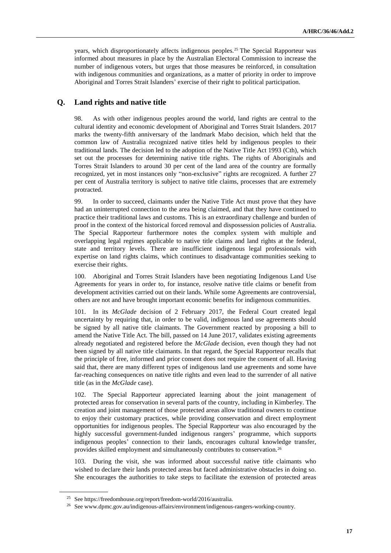years, which disproportionately affects indigenous peoples.<sup>25</sup> The Special Rapporteur was informed about measures in place by the Australian Electoral Commission to increase the number of indigenous voters, but urges that those measures be reinforced, in consultation with indigenous communities and organizations, as a matter of priority in order to improve Aboriginal and Torres Strait Islanders' exercise of their right to political participation.

#### **Q. Land rights and native title**

98. As with other indigenous peoples around the world, land rights are central to the cultural identity and economic development of Aboriginal and Torres Strait Islanders. 2017 marks the twenty-fifth anniversary of the landmark Mabo decision, which held that the common law of Australia recognized native titles held by indigenous peoples to their traditional lands. The decision led to the adoption of the Native Title Act 1993 (Cth), which set out the processes for determining native title rights. The rights of Aboriginals and Torres Strait Islanders to around 30 per cent of the land area of the country are formally recognized, yet in most instances only "non-exclusive" rights are recognized. A further 27 per cent of Australia territory is subject to native title claims, processes that are extremely protracted.

99. In order to succeed, claimants under the Native Title Act must prove that they have had an uninterrupted connection to the area being claimed, and that they have continued to practice their traditional laws and customs. This is an extraordinary challenge and burden of proof in the context of the historical forced removal and dispossession policies of Australia. The Special Rapporteur furthermore notes the complex system with multiple and overlapping legal regimes applicable to native title claims and land rights at the federal, state and territory levels. There are insufficient indigenous legal professionals with expertise on land rights claims, which continues to disadvantage communities seeking to exercise their rights.

100. Aboriginal and Torres Strait Islanders have been negotiating Indigenous Land Use Agreements for years in order to, for instance, resolve native title claims or benefit from development activities carried out on their lands. While some Agreements are controversial, others are not and have brought important economic benefits for indigenous communities.

101. In its *McGlade* decision of 2 February 2017, the Federal Court created legal uncertainty by requiring that, in order to be valid, indigenous land use agreements should be signed by all native title claimants. The Government reacted by proposing a bill to amend the Native Title Act. The bill, passed on 14 June 2017, validates existing agreements already negotiated and registered before the *McGlade* decision, even though they had not been signed by all native title claimants. In that regard, the Special Rapporteur recalls that the principle of free, informed and prior consent does not require the consent of all. Having said that, there are many different types of indigenous land use agreements and some have far-reaching consequences on native title rights and even lead to the surrender of all native title (as in the *McGlade* case).

102. The Special Rapporteur appreciated learning about the joint management of protected areas for conservation in several parts of the country, including in Kimberley. The creation and joint management of those protected areas allow traditional owners to continue to enjoy their customary practices, while providing conservation and direct employment opportunities for indigenous peoples. The Special Rapporteur was also encouraged by the highly successful government-funded indigenous rangers' programme, which supports indigenous peoples' connection to their lands, encourages cultural knowledge transfer, provides skilled employment and simultaneously contributes to conservation.<sup>26</sup>

103. During the visit, she was informed about successful native title claimants who wished to declare their lands protected areas but faced administrative obstacles in doing so. She encourages the authorities to take steps to facilitate the extension of protected areas

<sup>25</sup> See https://freedomhouse.org/report/freedom-world/2016/australia.

<sup>26</sup> See www.dpmc.gov.au/indigenous-affairs/environment/indigenous-rangers-working-country.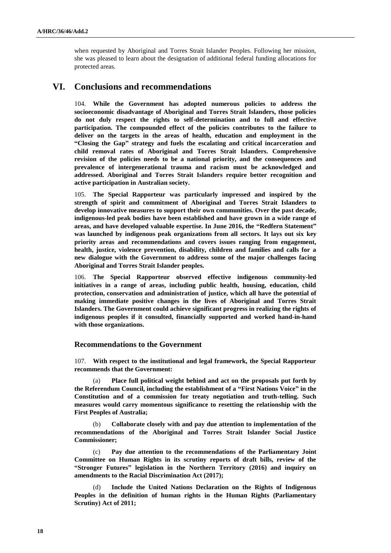when requested by Aboriginal and Torres Strait Islander Peoples. Following her mission, she was pleased to learn about the designation of additional federal funding allocations for protected areas.

## **VI. Conclusions and recommendations**

104. **While the Government has adopted numerous policies to address the socioeconomic disadvantage of Aboriginal and Torres Strait Islanders, those policies do not duly respect the rights to self-determination and to full and effective participation. The compounded effect of the policies contributes to the failure to deliver on the targets in the areas of health, education and employment in the "Closing the Gap" strategy and fuels the escalating and critical incarceration and child removal rates of Aboriginal and Torres Strait Islanders. Comprehensive revision of the policies needs to be a national priority, and the consequences and prevalence of intergenerational trauma and racism must be acknowledged and addressed. Aboriginal and Torres Strait Islanders require better recognition and active participation in Australian society.**

105. **The Special Rapporteur was particularly impressed and inspired by the strength of spirit and commitment of Aboriginal and Torres Strait Islanders to develop innovative measures to support their own communities. Over the past decade, indigenous-led peak bodies have been established and have grown in a wide range of areas, and have developed valuable expertise. In June 2016, the "Redfern Statement" was launched by indigenous peak organizations from all sectors. It lays out six key priority areas and recommendations and covers issues ranging from engagement, health, justice, violence prevention, disability, children and families and calls for a new dialogue with the Government to address some of the major challenges facing Aboriginal and Torres Strait Islander peoples.** 

106. **The Special Rapporteur observed effective indigenous community-led initiatives in a range of areas, including public health, housing, education, child protection, conservation and administration of justice, which all have the potential of making immediate positive changes in the lives of Aboriginal and Torres Strait Islanders. The Government could achieve significant progress in realizing the rights of indigenous peoples if it consulted, financially supported and worked hand-in-hand with those organizations.**

#### **Recommendations to the Government**

107. **With respect to the institutional and legal framework, the Special Rapporteur recommends that the Government:** 

(a) **Place full political weight behind and act on the proposals put forth by the Referendum Council, including the establishment of a "First Nations Voice" in the Constitution and of a commission for treaty negotiation and truth-telling. Such measures would carry momentous significance to resetting the relationship with the First Peoples of Australia;**

(b) **Collaborate closely with and pay due attention to implementation of the recommendations of the Aboriginal and Torres Strait Islander Social Justice Commissioner;**

(c) **Pay due attention to the recommendations of the Parliamentary Joint Committee on Human Rights in its scrutiny reports of draft bills, review of the "Stronger Futures" legislation in the Northern Territory (2016) and inquiry on amendments to the Racial Discrimination Act (2017);** 

(d) **Include the United Nations Declaration on the Rights of Indigenous Peoples in the definition of human rights in the Human Rights (Parliamentary Scrutiny) Act of 2011;**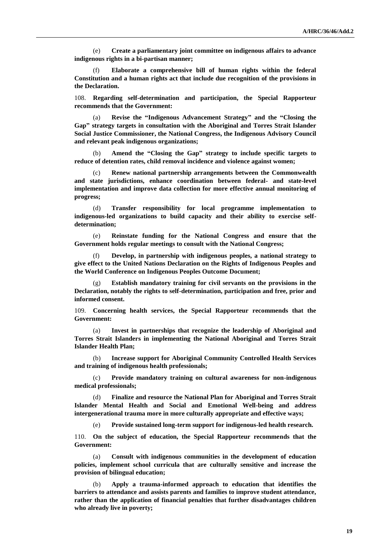(e) **Create a parliamentary joint committee on indigenous affairs to advance indigenous rights in a bi-partisan manner;**

(f) **Elaborate a comprehensive bill of human rights within the federal Constitution and a human rights act that include due recognition of the provisions in the Declaration.**

108. **Regarding self-determination and participation, the Special Rapporteur recommends that the Government:**

(a) **Revise the "Indigenous Advancement Strategy" and the "Closing the Gap" strategy targets in consultation with the Aboriginal and Torres Strait Islander Social Justice Commissioner, the National Congress, the Indigenous Advisory Council and relevant peak indigenous organizations;**

(b) **Amend the "Closing the Gap" strategy to include specific targets to reduce of detention rates, child removal incidence and violence against women;** 

(c) **Renew national partnership arrangements between the Commonwealth and state jurisdictions, enhance coordination between federal- and state-level implementation and improve data collection for more effective annual monitoring of progress;** 

(d) **Transfer responsibility for local programme implementation to indigenous-led organizations to build capacity and their ability to exercise selfdetermination;**

(e) **Reinstate funding for the National Congress and ensure that the Government holds regular meetings to consult with the National Congress;**

(f) **Develop, in partnership with indigenous peoples, a national strategy to give effect to the United Nations Declaration on the Rights of Indigenous Peoples and the World Conference on Indigenous Peoples Outcome Document;**

(g) **Establish mandatory training for civil servants on the provisions in the Declaration, notably the rights to self-determination, participation and free, prior and informed consent.**

109. **Concerning health services, the Special Rapporteur recommends that the Government:**

(a) **Invest in partnerships that recognize the leadership of Aboriginal and Torres Strait Islanders in implementing the National Aboriginal and Torres Strait Islander Health Plan;**

(b) **Increase support for Aboriginal Community Controlled Health Services and training of indigenous health professionals;**

(c) **Provide mandatory training on cultural awareness for non-indigenous medical professionals;**

(d) **Finalize and resource the National Plan for Aboriginal and Torres Strait Islander Mental Health and Social and Emotional Well-being and address intergenerational trauma more in more culturally appropriate and effective ways;**

Provide sustained long-term support for indigenous-led health research.

110. **On the subject of education, the Special Rapporteur recommends that the Government:**

Consult with indigenous communities in the development of education **policies, implement school curricula that are culturally sensitive and increase the provision of bilingual education;**

(b) **Apply a trauma-informed approach to education that identifies the barriers to attendance and assists parents and families to improve student attendance, rather than the application of financial penalties that further disadvantages children who already live in poverty;**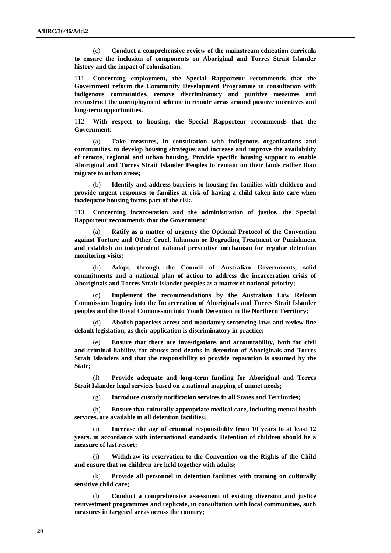(c) **Conduct a comprehensive review of the mainstream education curricula to ensure the inclusion of components on Aboriginal and Torres Strait Islander history and the impact of colonization.**

111. **Concerning employment, the Special Rapporteur recommends that the Government reform the Community Development Programme in consultation with indigenous communities, remove discriminatory and punitive measures and reconstruct the unemployment scheme in remote areas around positive incentives and long-term opportunities.**

112. **With respect to housing, the Special Rapporteur recommends that the Government:**

(a) **Take measures, in consultation with indigenous organizations and communities, to develop housing strategies and increase and improve the availability of remote, regional and urban housing. Provide specific housing support to enable Aboriginal and Torres Strait Islander Peoples to remain on their lands rather than migrate to urban areas;**

(b) **Identify and address barriers to housing for families with children and provide urgent responses to families at risk of having a child taken into care when inadequate housing forms part of the risk.**

113. **Concerning incarceration and the administration of justice, the Special Rapporteur recommends that the Government:**

Ratify as a matter of urgency the Optional Protocol of the Convention **against Torture and Other Cruel, Inhuman or Degrading Treatment or Punishment and establish an independent national preventive mechanism for regular detention monitoring visits;**

(b) **Adopt, through the Council of Australian Governments, solid commitments and a national plan of action to address the incarceration crisis of Aboriginals and Torres Strait Islander peoples as a matter of national priority;**

(c) **Implement the recommendations by the Australian Law Reform Commission Inquiry into the Incarceration of Aboriginals and Torres Strait Islander peoples and the Royal Commission into Youth Detention in the Northern Territory;**

(d) **Abolish paperless arrest and mandatory sentencing laws and review fine default legislation, as their application is discriminatory in practice;**

(e) **Ensure that there are investigations and accountability, both for civil and criminal liability, for abuses and deaths in detention of Aboriginals and Torres Strait Islanders and that the responsibility to provide reparation is assumed by the State;**

(f) **Provide adequate and long-term funding for Aboriginal and Torres Strait Islander legal services based on a national mapping of unmet needs;**

(g) **Introduce custody notification services in all States and Territories;**

(h) **Ensure that culturally appropriate medical care, including mental health services, are available in all detention facilities;**

Increase the age of criminal responsibility from 10 years to at least 12 **years, in accordance with international standards. Detention of children should be a measure of last resort;**

(j) **Withdraw its reservation to the Convention on the Rights of the Child and ensure that no children are held together with adults;**

(k) **Provide all personnel in detention facilities with training on culturally sensitive child care;**

(l) **Conduct a comprehensive assessment of existing diversion and justice reinvestment programmes and replicate, in consultation with local communities, such measures in targeted areas across the country;**